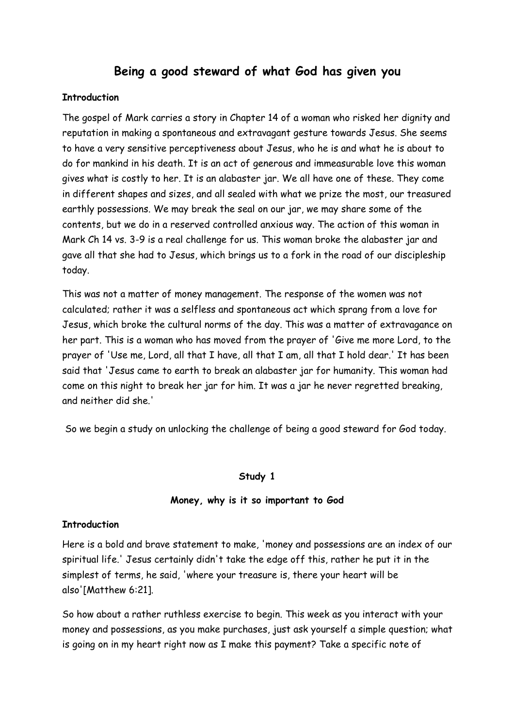# **Being a good steward of what God has given you**

### **Introduction**

The gospel of Mark carries a story in Chapter 14 of a woman who risked her dignity and reputation in making a spontaneous and extravagant gesture towards Jesus. She seems to have a very sensitive perceptiveness about Jesus, who he is and what he is about to do for mankind in his death. It is an act of generous and immeasurable love this woman gives what is costly to her. It is an alabaster jar. We all have one of these. They come in different shapes and sizes, and all sealed with what we prize the most, our treasured earthly possessions. We may break the seal on our jar, we may share some of the contents, but we do in a reserved controlled anxious way. The action of this woman in Mark Ch 14 vs. 3-9 is a real challenge for us. This woman broke the alabaster jar and gave all that she had to Jesus, which brings us to a fork in the road of our discipleship today.

This was not a matter of money management. The response of the women was not calculated; rather it was a selfless and spontaneous act which sprang from a love for Jesus, which broke the cultural norms of the day. This was a matter of extravagance on her part. This is a woman who has moved from the prayer of 'Give me more Lord, to the prayer of 'Use me, Lord, all that I have, all that I am, all that I hold dear.' It has been said that 'Jesus came to earth to break an alabaster jar for humanity. This woman had come on this night to break her jar for him. It was a jar he never regretted breaking, and neither did she.'

So we begin a study on unlocking the challenge of being a good steward for God today.

### **Study 1**

#### **Money, why is it so important to God**

### **Introduction**

Here is a bold and brave statement to make, 'money and possessions are an index of our spiritual life.' Jesus certainly didn't take the edge off this, rather he put it in the simplest of terms, he said, 'where your treasure is, there your heart will be also'[Matthew 6:21].

So how about a rather ruthless exercise to begin. This week as you interact with your money and possessions, as you make purchases, just ask yourself a simple question; what is going on in my heart right now as I make this payment? Take a specific note of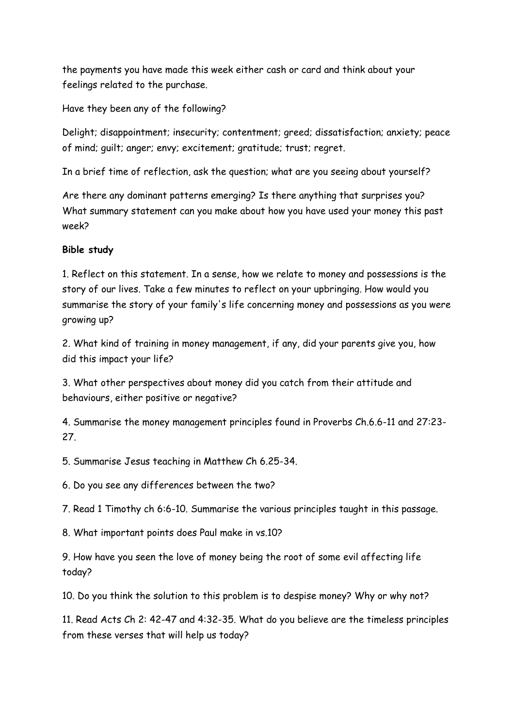the payments you have made this week either cash or card and think about your feelings related to the purchase.

Have they been any of the following?

Delight; disappointment; insecurity; contentment; greed; dissatisfaction; anxiety; peace of mind; guilt; anger; envy; excitement; gratitude; trust; regret.

In a brief time of reflection, ask the question; what are you seeing about yourself?

Are there any dominant patterns emerging? Is there anything that surprises you? What summary statement can you make about how you have used your money this past week?

# **Bible study**

1. Reflect on this statement. In a sense, how we relate to money and possessions is the story of our lives. Take a few minutes to reflect on your upbringing. How would you summarise the story of your family's life concerning money and possessions as you were growing up?

2. What kind of training in money management, if any, did your parents give you, how did this impact your life?

3. What other perspectives about money did you catch from their attitude and behaviours, either positive or negative?

4. Summarise the money management principles found in Proverbs Ch.6.6-11 and 27:23- 27.

5. Summarise Jesus teaching in Matthew Ch 6.25-34.

6. Do you see any differences between the two?

7. Read 1 Timothy ch 6:6-10. Summarise the various principles taught in this passage.

8. What important points does Paul make in vs.10?

9. How have you seen the love of money being the root of some evil affecting life today?

10. Do you think the solution to this problem is to despise money? Why or why not?

11. Read Acts Ch 2: 42-47 and 4:32-35. What do you believe are the timeless principles from these verses that will help us today?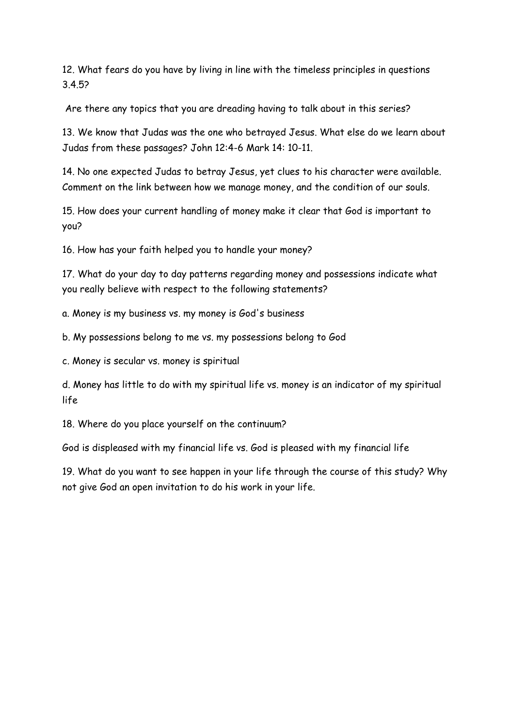12. What fears do you have by living in line with the timeless principles in questions 3.4.5?

Are there any topics that you are dreading having to talk about in this series?

13. We know that Judas was the one who betrayed Jesus. What else do we learn about Judas from these passages? John 12:4-6 Mark 14: 10-11.

14. No one expected Judas to betray Jesus, yet clues to his character were available. Comment on the link between how we manage money, and the condition of our souls.

15. How does your current handling of money make it clear that God is important to you?

16. How has your faith helped you to handle your money?

17. What do your day to day patterns regarding money and possessions indicate what you really believe with respect to the following statements?

a. Money is my business vs. my money is God's business

b. My possessions belong to me vs. my possessions belong to God

c. Money is secular vs. money is spiritual

d. Money has little to do with my spiritual life vs. money is an indicator of my spiritual life

18. Where do you place yourself on the continuum?

God is displeased with my financial life vs. God is pleased with my financial life

19. What do you want to see happen in your life through the course of this study? Why not give God an open invitation to do his work in your life.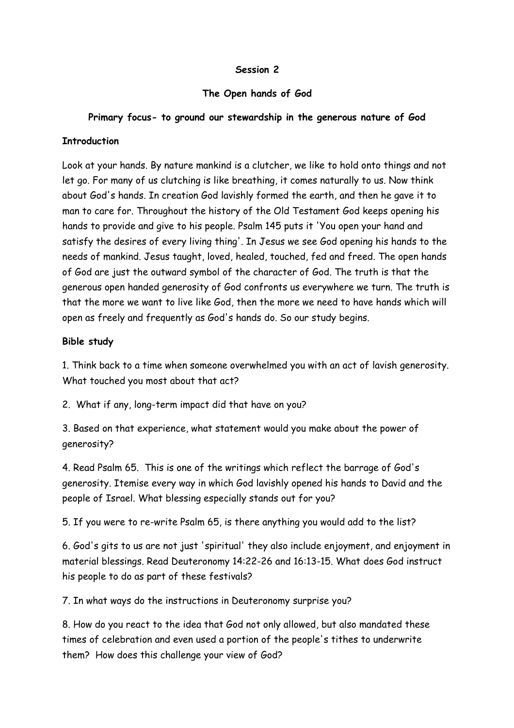# **The Open hands of God**

# **Primary focus- to ground our stewardship in the generous nature of God**

### **Introduction**

Look at your hands. By nature mankind is a clutcher, we like to hold onto things and not let go. For many of us clutching is like breathing, it comes naturally to us. Now think about God's hands. In creation God lavishly formed the earth, and then he gave it to man to care for. Throughout the history of the Old Testament God keeps opening his hands to provide and give to his people. Psalm 145 puts it 'You open your hand and satisfy the desires of every living thing'. In Jesus we see God opening his hands to the needs of mankind. Jesus taught, loved, healed, touched, fed and freed. The open hands of God are just the outward symbol of the character of God. The truth is that the generous open handed generosity of God confronts us everywhere we turn. The truth is that the more we want to live like God, then the more we need to have hands which will open as freely and frequently as God's hands do. So our study begins.

# **Bible study**

1. Think back to a time when someone overwhelmed you with an act of lavish generosity. What touched you most about that act?

2. What if any, long-term impact did that have on you?

3. Based on that experience, what statement would you make about the power of generosity?

4. Read Psalm 65. This is one of the writings which reflect the barrage of God's generosity. Itemise every way in which God lavishly opened his hands to David and the people of Israel. What blessing especially stands out for you?

5. If you were to re-write Psalm 65, is there anything you would add to the list?

6. God's gits to us are not just 'spiritual' they also include enjoyment, and enjoyment in material blessings. Read Deuteronomy 14:22-26 and 16:13-15. What does God instruct his people to do as part of these festivals?

7. In what ways do the instructions in Deuteronomy surprise you?

8. How do you react to the idea that God not only allowed, but also mandated these times of celebration and even used a portion of the people's tithes to underwrite them? How does this challenge your view of God?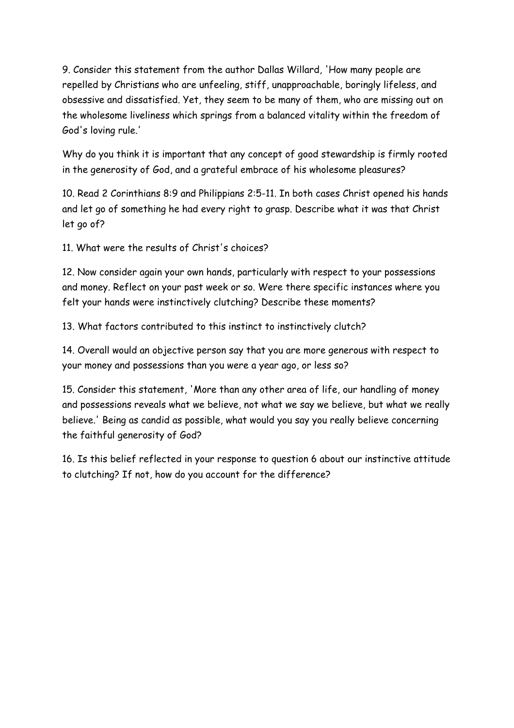9. Consider this statement from the author Dallas Willard, 'How many people are repelled by Christians who are unfeeling, stiff, unapproachable, boringly lifeless, and obsessive and dissatisfied. Yet, they seem to be many of them, who are missing out on the wholesome liveliness which springs from a balanced vitality within the freedom of God's loving rule.'

Why do you think it is important that any concept of good stewardship is firmly rooted in the generosity of God, and a grateful embrace of his wholesome pleasures?

10. Read 2 Corinthians 8:9 and Philippians 2:5-11. In both cases Christ opened his hands and let go of something he had every right to grasp. Describe what it was that Christ let go of?

11. What were the results of Christ's choices?

12. Now consider again your own hands, particularly with respect to your possessions and money. Reflect on your past week or so. Were there specific instances where you felt your hands were instinctively clutching? Describe these moments?

13. What factors contributed to this instinct to instinctively clutch?

14. Overall would an objective person say that you are more generous with respect to your money and possessions than you were a year ago, or less so?

15. Consider this statement, 'More than any other area of life, our handling of money and possessions reveals what we believe, not what we say we believe, but what we really believe.' Being as candid as possible, what would you say you really believe concerning the faithful generosity of God?

16. Is this belief reflected in your response to question 6 about our instinctive attitude to clutching? If not, how do you account for the difference?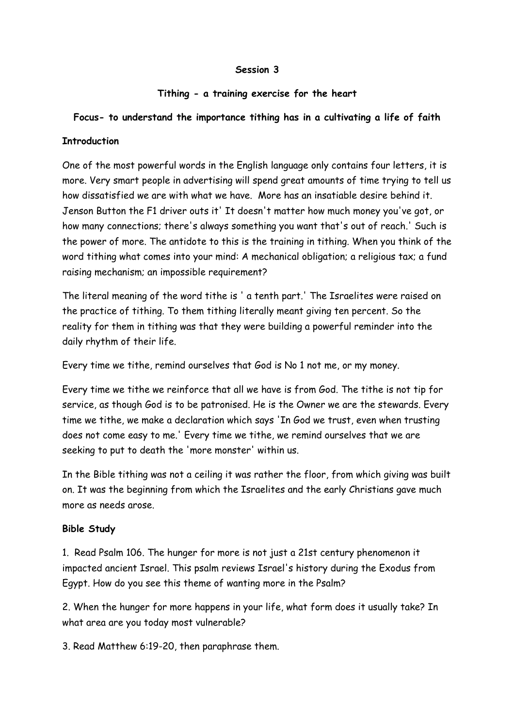# **Tithing - a training exercise for the heart**

# **Focus- to understand the importance tithing has in a cultivating a life of faith**

## **Introduction**

One of the most powerful words in the English language only contains four letters, it is more. Very smart people in advertising will spend great amounts of time trying to tell us how dissatisfied we are with what we have. More has an insatiable desire behind it. Jenson Button the F1 driver outs it' It doesn't matter how much money you've got, or how many connections; there's always something you want that's out of reach.' Such is the power of more. The antidote to this is the training in tithing. When you think of the word tithing what comes into your mind: A mechanical obligation; a religious tax; a fund raising mechanism; an impossible requirement?

The literal meaning of the word tithe is ' a tenth part.' The Israelites were raised on the practice of tithing. To them tithing literally meant giving ten percent. So the reality for them in tithing was that they were building a powerful reminder into the daily rhythm of their life.

Every time we tithe, remind ourselves that God is No 1 not me, or my money.

Every time we tithe we reinforce that all we have is from God. The tithe is not tip for service, as though God is to be patronised. He is the Owner we are the stewards. Every time we tithe, we make a declaration which says 'In God we trust, even when trusting does not come easy to me.' Every time we tithe, we remind ourselves that we are seeking to put to death the 'more monster' within us.

In the Bible tithing was not a ceiling it was rather the floor, from which giving was built on. It was the beginning from which the Israelites and the early Christians gave much more as needs arose.

# **Bible Study**

1. Read Psalm 106. The hunger for more is not just a 21st century phenomenon it impacted ancient Israel. This psalm reviews Israel's history during the Exodus from Egypt. How do you see this theme of wanting more in the Psalm?

2. When the hunger for more happens in your life, what form does it usually take? In what area are you today most vulnerable?

3. Read Matthew 6:19-20, then paraphrase them.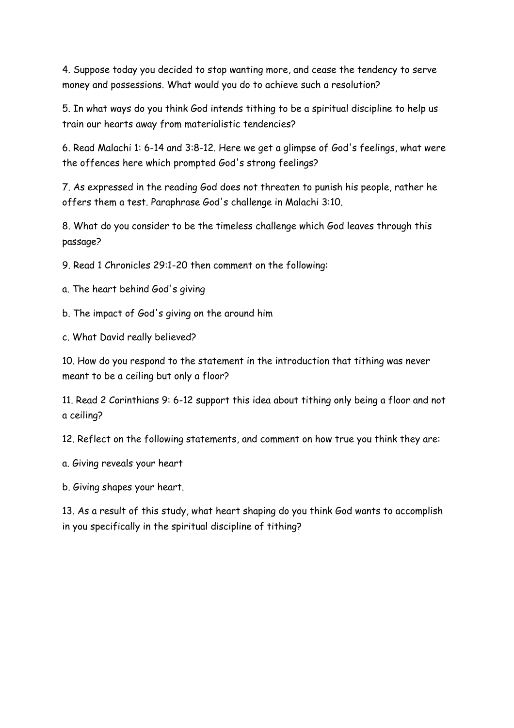4. Suppose today you decided to stop wanting more, and cease the tendency to serve money and possessions. What would you do to achieve such a resolution?

5. In what ways do you think God intends tithing to be a spiritual discipline to help us train our hearts away from materialistic tendencies?

6. Read Malachi 1: 6-14 and 3:8-12. Here we get a glimpse of God's feelings, what were the offences here which prompted God's strong feelings?

7. As expressed in the reading God does not threaten to punish his people, rather he offers them a test. Paraphrase God's challenge in Malachi 3:10.

8. What do you consider to be the timeless challenge which God leaves through this passage?

9. Read 1 Chronicles 29:1-20 then comment on the following:

a. The heart behind God's giving

b. The impact of God's giving on the around him

c. What David really believed?

10. How do you respond to the statement in the introduction that tithing was never meant to be a ceiling but only a floor?

11. Read 2 Corinthians 9: 6-12 support this idea about tithing only being a floor and not a ceiling?

12. Reflect on the following statements, and comment on how true you think they are:

a. Giving reveals your heart

b. Giving shapes your heart.

13. As a result of this study, what heart shaping do you think God wants to accomplish in you specifically in the spiritual discipline of tithing?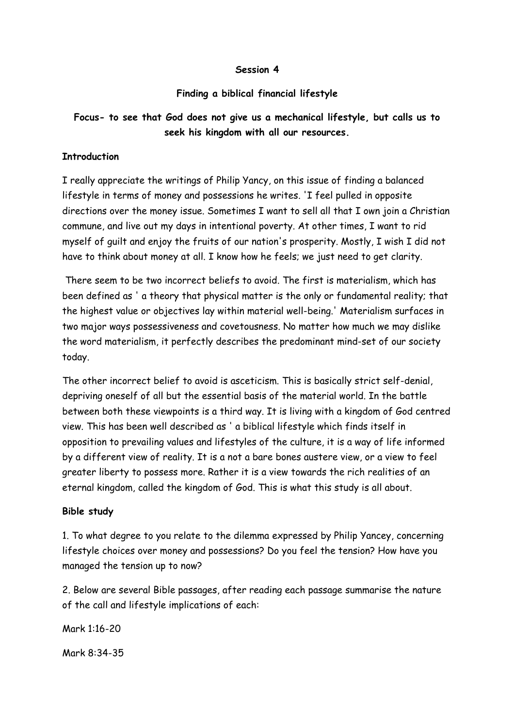### **Finding a biblical financial lifestyle**

# **Focus- to see that God does not give us a mechanical lifestyle, but calls us to seek his kingdom with all our resources.**

#### **Introduction**

I really appreciate the writings of Philip Yancy, on this issue of finding a balanced lifestyle in terms of money and possessions he writes. 'I feel pulled in opposite directions over the money issue. Sometimes I want to sell all that I own join a Christian commune, and live out my days in intentional poverty. At other times, I want to rid myself of guilt and enjoy the fruits of our nation's prosperity. Mostly, I wish I did not have to think about money at all. I know how he feels; we just need to get clarity.

 There seem to be two incorrect beliefs to avoid. The first is materialism, which has been defined as ' a theory that physical matter is the only or fundamental reality; that the highest value or objectives lay within material well-being.' Materialism surfaces in two major ways possessiveness and covetousness. No matter how much we may dislike the word materialism, it perfectly describes the predominant mind-set of our society today.

The other incorrect belief to avoid is asceticism. This is basically strict self-denial, depriving oneself of all but the essential basis of the material world. In the battle between both these viewpoints is a third way. It is living with a kingdom of God centred view. This has been well described as ' a biblical lifestyle which finds itself in opposition to prevailing values and lifestyles of the culture, it is a way of life informed by a different view of reality. It is a not a bare bones austere view, or a view to feel greater liberty to possess more. Rather it is a view towards the rich realities of an eternal kingdom, called the kingdom of God. This is what this study is all about.

#### **Bible study**

1. To what degree to you relate to the dilemma expressed by Philip Yancey, concerning lifestyle choices over money and possessions? Do you feel the tension? How have you managed the tension up to now?

2. Below are several Bible passages, after reading each passage summarise the nature of the call and lifestyle implications of each:

Mark 1:16-20

Mark 8:34-35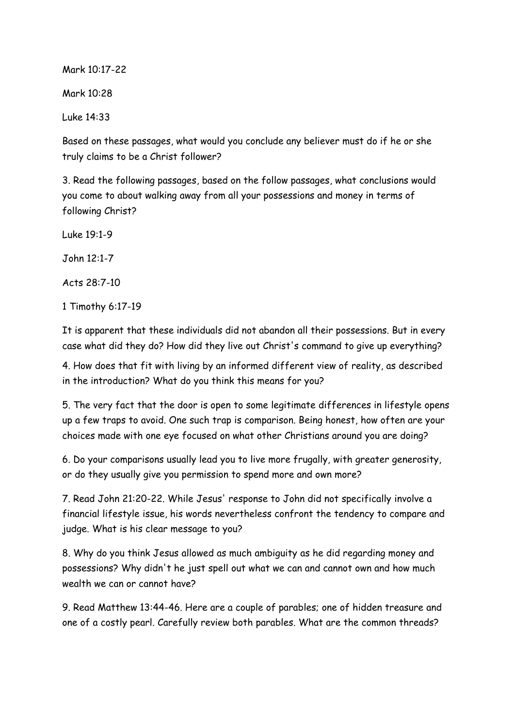Mark 10:17-22

Mark 10:28

Luke 14:33

Based on these passages, what would you conclude any believer must do if he or she truly claims to be a Christ follower?

3. Read the following passages, based on the follow passages, what conclusions would you come to about walking away from all your possessions and money in terms of following Christ?

Luke 19:1-9

John 12:1-7

Acts 28:7-10

1 Timothy 6:17-19

It is apparent that these individuals did not abandon all their possessions. But in every case what did they do? How did they live out Christ's command to give up everything?

4. How does that fit with living by an informed different view of reality, as described in the introduction? What do you think this means for you?

5. The very fact that the door is open to some legitimate differences in lifestyle opens up a few traps to avoid. One such trap is comparison. Being honest, how often are your choices made with one eye focused on what other Christians around you are doing?

6. Do your comparisons usually lead you to live more frugally, with greater generosity, or do they usually give you permission to spend more and own more?

7. Read John 21:20-22. While Jesus' response to John did not specifically involve a financial lifestyle issue, his words nevertheless confront the tendency to compare and judge. What is his clear message to you?

8. Why do you think Jesus allowed as much ambiguity as he did regarding money and possessions? Why didn't he just spell out what we can and cannot own and how much wealth we can or cannot have?

9. Read Matthew 13:44-46. Here are a couple of parables; one of hidden treasure and one of a costly pearl. Carefully review both parables. What are the common threads?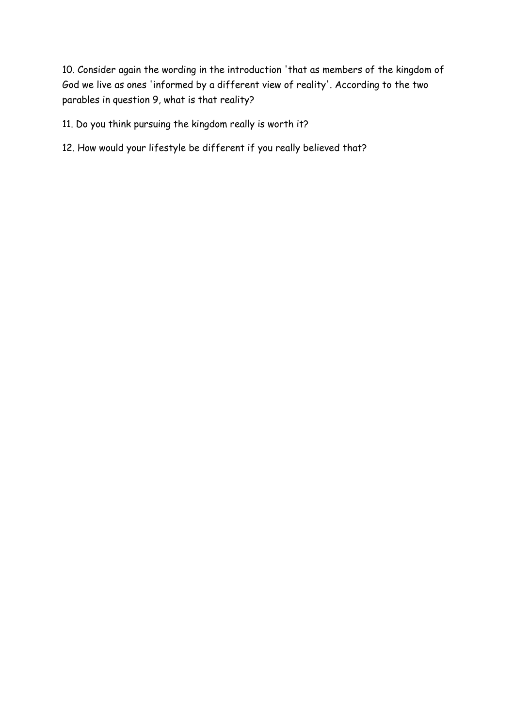10. Consider again the wording in the introduction 'that as members of the kingdom of God we live as ones 'informed by a different view of reality'. According to the two parables in question 9, what is that reality?

11. Do you think pursuing the kingdom really is worth it?

12. How would your lifestyle be different if you really believed that?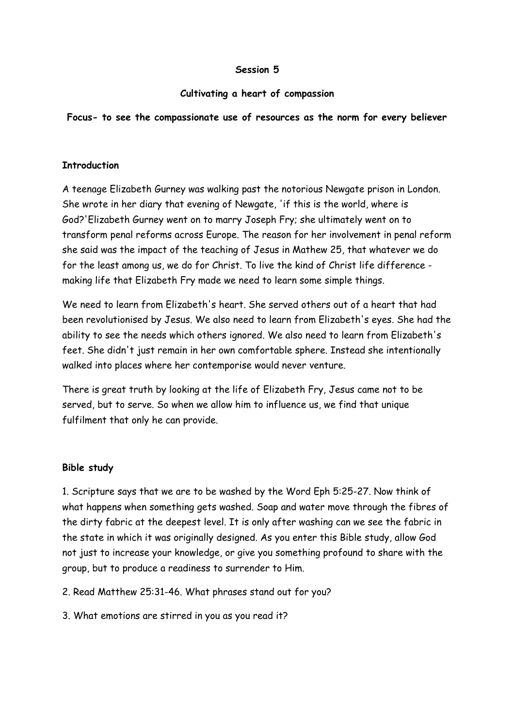## **Cultivating a heart of compassion**

# **Focus- to see the compassionate use of resources as the norm for every believer**

# **Introduction**

A teenage Elizabeth Gurney was walking past the notorious Newgate prison in London. She wrote in her diary that evening of Newgate, 'if this is the world, where is God?'Elizabeth Gurney went on to marry Joseph Fry; she ultimately went on to transform penal reforms across Europe. The reason for her involvement in penal reform she said was the impact of the teaching of Jesus in Mathew 25, that whatever we do for the least among us, we do for Christ. To live the kind of Christ life difference making life that Elizabeth Fry made we need to learn some simple things.

We need to learn from Elizabeth's heart. She served others out of a heart that had been revolutionised by Jesus. We also need to learn from Elizabeth's eyes. She had the ability to see the needs which others ignored. We also need to learn from Elizabeth's feet. She didn't just remain in her own comfortable sphere. Instead she intentionally walked into places where her contemporise would never venture.

There is great truth by looking at the life of Elizabeth Fry, Jesus came not to be served, but to serve. So when we allow him to influence us, we find that unique fulfilment that only he can provide.

### **Bible study**

1. Scripture says that we are to be washed by the Word Eph 5:25-27. Now think of what happens when something gets washed. Soap and water move through the fibres of the dirty fabric at the deepest level. It is only after washing can we see the fabric in the state in which it was originally designed. As you enter this Bible study, allow God not just to increase your knowledge, or give you something profound to share with the group, but to produce a readiness to surrender to Him.

2. Read Matthew 25:31-46. What phrases stand out for you?

3. What emotions are stirred in you as you read it?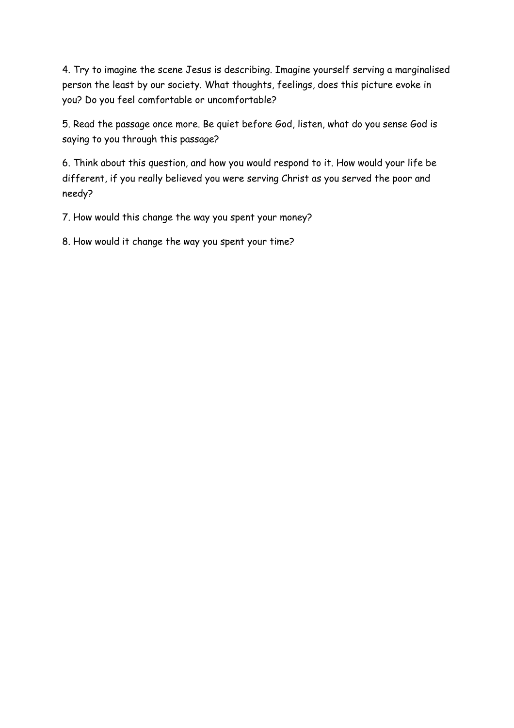4. Try to imagine the scene Jesus is describing. Imagine yourself serving a marginalised person the least by our society. What thoughts, feelings, does this picture evoke in you? Do you feel comfortable or uncomfortable?

5. Read the passage once more. Be quiet before God, listen, what do you sense God is saying to you through this passage?

6. Think about this question, and how you would respond to it. How would your life be different, if you really believed you were serving Christ as you served the poor and needy?

7. How would this change the way you spent your money?

8. How would it change the way you spent your time?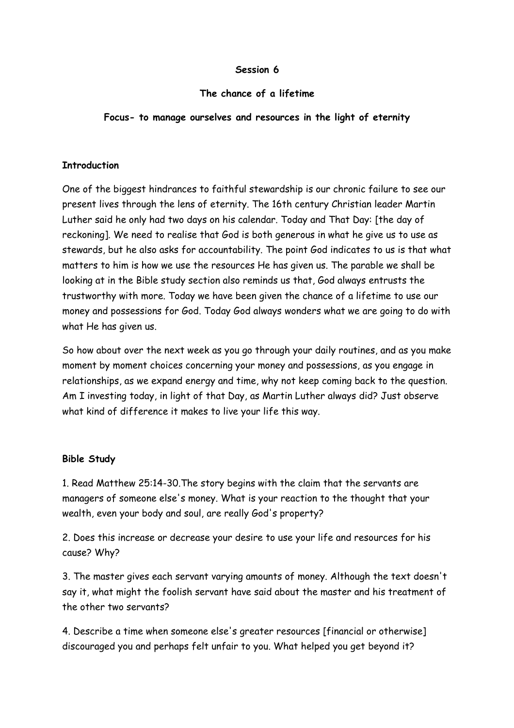## **The chance of a lifetime**

# **Focus- to manage ourselves and resources in the light of eternity**

## **Introduction**

One of the biggest hindrances to faithful stewardship is our chronic failure to see our present lives through the lens of eternity. The 16th century Christian leader Martin Luther said he only had two days on his calendar. Today and That Day: [the day of reckoning]. We need to realise that God is both generous in what he give us to use as stewards, but he also asks for accountability. The point God indicates to us is that what matters to him is how we use the resources He has given us. The parable we shall be looking at in the Bible study section also reminds us that, God always entrusts the trustworthy with more. Today we have been given the chance of a lifetime to use our money and possessions for God. Today God always wonders what we are going to do with what He has given us.

So how about over the next week as you go through your daily routines, and as you make moment by moment choices concerning your money and possessions, as you engage in relationships, as we expand energy and time, why not keep coming back to the question. Am I investing today, in light of that Day, as Martin Luther always did? Just observe what kind of difference it makes to live your life this way.

# **Bible Study**

1. Read Matthew 25:14-30.The story begins with the claim that the servants are managers of someone else's money. What is your reaction to the thought that your wealth, even your body and soul, are really God's property?

2. Does this increase or decrease your desire to use your life and resources for his cause? Why?

3. The master gives each servant varying amounts of money. Although the text doesn't say it, what might the foolish servant have said about the master and his treatment of the other two servants?

4. Describe a time when someone else's greater resources [financial or otherwise] discouraged you and perhaps felt unfair to you. What helped you get beyond it?